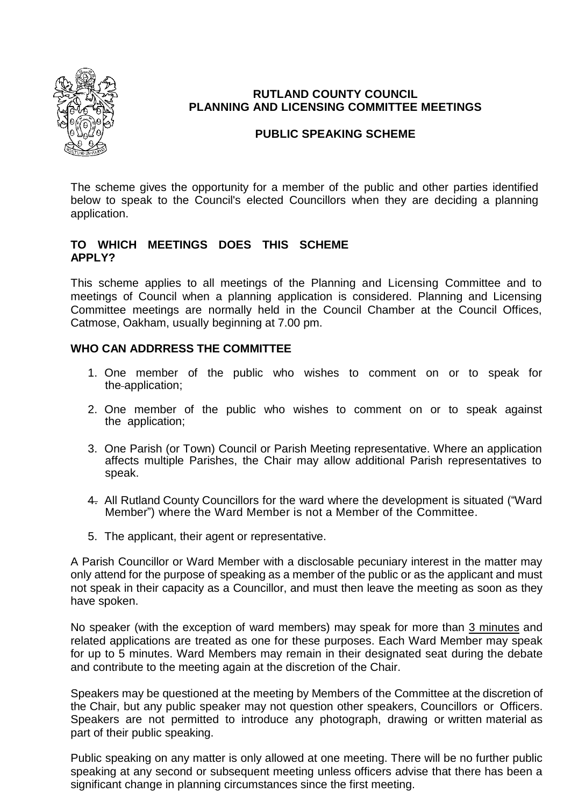

# **RUTLAND COUNTY COUNCIL PLANNING AND LICENSING COMMITTEE MEETINGS**

# **PUBLIC SPEAKING SCHEME**

The scheme gives the opportunity for a member of the public and other parties identified below to speak to the Council's elected Councillors when they are deciding a planning application.

### **TO WHICH MEETINGS DOES THIS SCHEME APPLY?**

This scheme applies to all meetings of the Planning and Licensing Committee and to meetings of Council when a planning application is considered. Planning and Licensing Committee meetings are normally held in the Council Chamber at the Council Offices, Catmose, Oakham, usually beginning at 7.00 pm.

### **WHO CAN ADDRRESS THE COMMITTEE**

- 1. One member of the public who wishes to comment on or to speak for the application;
- 2. One member of the public who wishes to comment on or to speak against the application;
- 3. One Parish (or Town) Council or Parish Meeting representative. Where an application affects multiple Parishes, the Chair may allow additional Parish representatives to speak.
- 4. All Rutland County Councillors for the ward where the development is situated ("Ward Member") where the Ward Member is not a Member of the Committee.
- 5. The applicant, their agent or representative.

A Parish Councillor or Ward Member with a disclosable pecuniary interest in the matter may only attend for the purpose of speaking as a member of the public or as the applicant and must not speak in their capacity as a Councillor, and must then leave the meeting as soon as they have spoken.

No speaker (with the exception of ward members) may speak for more than 3 minutes and related applications are treated as one for these purposes. Each Ward Member may speak for up to 5 minutes. Ward Members may remain in their designated seat during the debate and contribute to the meeting again at the discretion of the Chair.

Speakers may be questioned at the meeting by Members of the Committee at the discretion of the Chair, but any public speaker may not question other speakers, Councillors or Officers. Speakers are not permitted to introduce any photograph, drawing or written material as part of their public speaking.

Public speaking on any matter is only allowed at one meeting. There will be no further public speaking at any second or subsequent meeting unless officers advise that there has been a significant change in planning circumstances since the first meeting.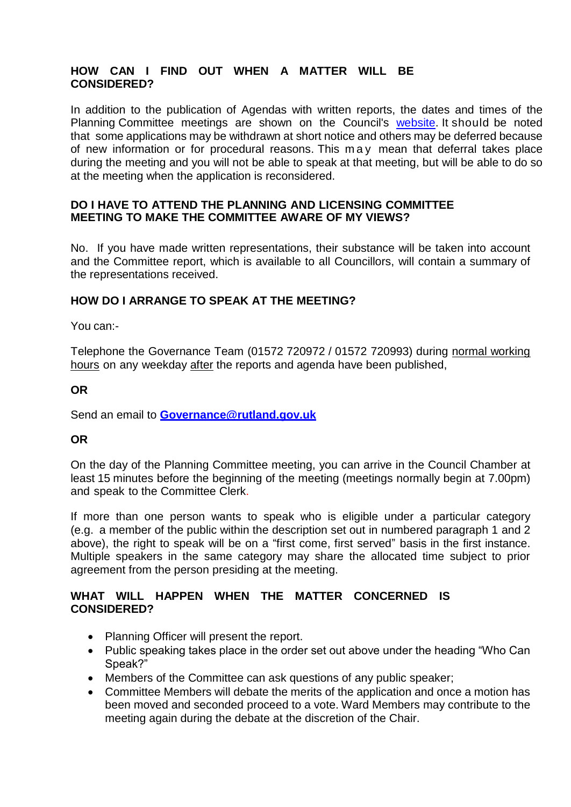# **HOW CAN I FIND OUT WHEN A MATTER WILL BE CONSIDERED?**

In addition to the publication of Agendas with written reports, the dates and times of the Planning Committee meetings are shown on the Council's [website.](http://rutlandcounty.moderngov.co.uk/mgCommitteeDetails.aspx?ID=275) It should be noted that some applications may be withdrawn at short notice and others may be deferred because of new information or for procedural reasons. This m a y mean that deferral takes place during the meeting and you will not be able to speak at that meeting, but will be able to do so at the meeting when the application is reconsidered.

#### **DO I HAVE TO ATTEND THE PLANNING AND LICENSING COMMITTEE MEETING TO MAKE THE COMMITTEE AWARE OF MY VIEWS?**

No. If you have made written representations, their substance will be taken into account and the Committee report, which is available to all Councillors, will contain a summary of the representations received.

# **HOW DO I ARRANGE TO SPEAK AT THE MEETING?**

You can:-

Telephone the Governance Team (01572 720972 / 01572 720993) during normal working hours on any weekday after the reports and agenda have been published,

### **OR**

Send an email to **[Governance@rutland.gov.uk](mailto:Corporatesupport@rutland.gov.uk)**

### **OR**

On the day of the Planning Committee meeting, you can arrive in the Council Chamber at least 15 minutes before the beginning of the meeting (meetings normally begin at 7.00pm) and speak to the Committee Clerk.

If more than one person wants to speak who is eligible under a particular category (e.g. a member of the public within the description set out in numbered paragraph 1 and 2 above), the right to speak will be on a "first come, first served" basis in the first instance. Multiple speakers in the same category may share the allocated time subject to prior agreement from the person presiding at the meeting.

#### **WHAT WILL HAPPEN WHEN THE MATTER CONCERNED IS CONSIDERED?**

- Planning Officer will present the report.
- Public speaking takes place in the order set out above under the heading "Who Can Speak?"
- Members of the Committee can ask questions of any public speaker;
- Committee Members will debate the merits of the application and once a motion has been moved and seconded proceed to a vote. Ward Members may contribute to the meeting again during the debate at the discretion of the Chair.